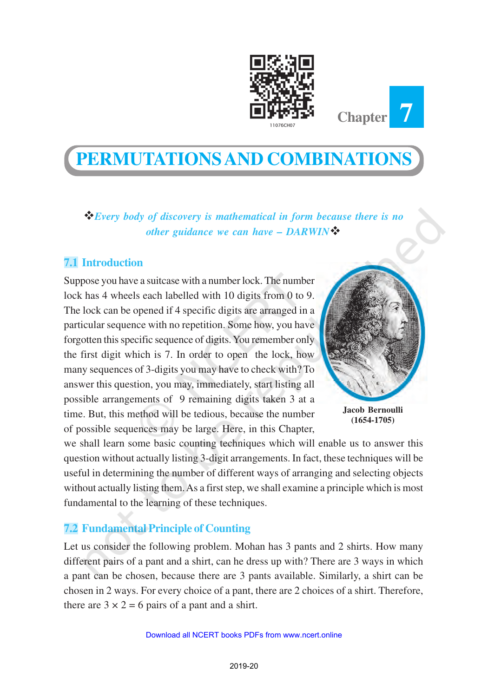



v*Every body of discovery is mathematical in form because there is no other guidance we can have – DARWIN* 

# **7.1 Introduction**

Suppose you have a suitcase with a number lock. The number lock has 4 wheels each labelled with 10 digits from 0 to 9. The lock can be opened if 4 specific digits are arranged in a particular sequence with no repetition. Some how, you have forgotten this specific sequence of digits. You remember only the first digit which is 7. In order to open the lock, how many sequences of 3-digits you may have to check with? To answer this question, you may, immediately, start listing all possible arrangements of 9 remaining digits taken 3 at a time. But, this method will be tedious, because the number of possible sequences may be large. Here, in this Chapter,



**Chapter 7**

**Jacob Bernoulli (1654-1705)**

we shall learn some basic counting techniques which will enable us to answer this question without actually listing 3-digit arrangements. In fact, these techniques will be useful in determining the number of different ways of arranging and selecting objects without actually listing them. As a first step, we shall examine a principle which is most fundamental to the learning of these techniques.

## **7.2 Fundamental Principle of Counting**

Let us consider the following problem. Mohan has 3 pants and 2 shirts. How many different pairs of a pant and a shirt, can he dress up with? There are 3 ways in which a pant can be chosen, because there are 3 pants available. Similarly, a shirt can be chosen in 2 ways. For every choice of a pant, there are 2 choices of a shirt. Therefore, there are  $3 \times 2 = 6$  pairs of a pant and a shirt.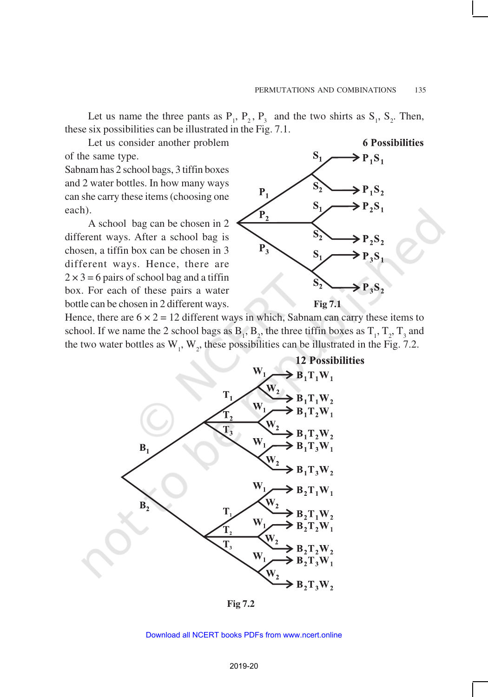**6 Possibilities** 

Let us name the three pants as  $P_1$ ,  $P_2$ ,  $P_3$  and the two shirts as  $S_1$ ,  $S_2$ . Then, these six possibilities can be illustrated in the Fig. 7.1.

Let us consider another problem of the same type.

Sabnam has 2 school bags, 3 tiffin boxes and 2 water bottles. In how many ways can she carry these items (choosing one each).

A school bag can be chosen in 2 different ways. After a school bag is chosen, a tiffin box can be chosen in 3 different ways. Hence, there are  $2 \times 3 = 6$  pairs of school bag and a tiffin box. For each of these pairs a water bottle can be chosen in 2 different ways.

 $S_1$  $\sum P_1 S_1$  $S_2$  $\triangleright$  P<sub>1</sub>S<sub>2</sub>  $P_1$  $S<sub>1</sub>$  $\triangleright$  P<sub>2</sub>S<sub>1</sub>  $P<sub>2</sub>$  $\mathbf{P}_2\mathbf{S}_2$  $P_3$  $S<sub>1</sub>$  $\geq P_3S_1$  $\sum P_i S_i$ 

**Fig 7.1**

Hence, there are  $6 \times 2 = 12$  different ways in which, Sabnam can carry these items to school. If we name the 2 school bags as  $B_1$ ,  $B_2$ , the three tiffin boxes as  $T_1$ ,  $T_2$ ,  $T_3$  and the two water bottles as  $W_1$ ,  $W_2$ , these possibilities can be illustrated in the Fig. 7.2.



**Fig 7.2**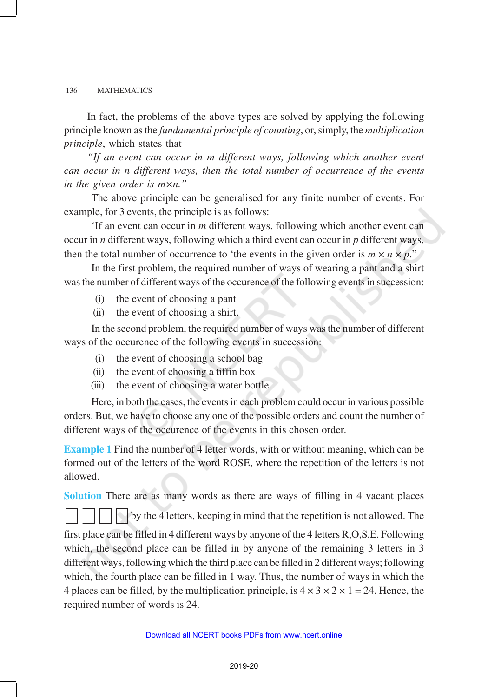In fact, the problems of the above types are solved by applying the following principle known as the *fundamental principle of counting*, or, simply, the *multiplication principle*, which states that

*"If an event can occur in m different ways, following which another event can occur in n different ways, then the total number of occurrence of the events in the given order is m×n."*

The above principle can be generalised for any finite number of events. For example, for 3 events, the principle is as follows:

'If an event can occur in *m* different ways, following which another event can occur in *n* different ways, following which a third event can occur in *p* different ways, then the total number of occurrence to 'the events in the given order is  $m \times n \times p$ ."

In the first problem, the required number of ways of wearing a pant and a shirt was the number of different ways of the occurence of the following events in succession:

- (i) the event of choosing a pant
- (ii) the event of choosing a shirt.

In the second problem, the required number of ways was the number of different ways of the occurence of the following events in succession:

- (i) the event of choosing a school bag
- (ii) the event of choosing a tiffin box
- (iii) the event of choosing a water bottle.

Here, in both the cases, the events in each problem could occur in various possible orders. But, we have to choose any one of the possible orders and count the number of different ways of the occurence of the events in this chosen order.

**Example 1** Find the number of 4 letter words, with or without meaning, which can be formed out of the letters of the word ROSE, where the repetition of the letters is not allowed.

**Solution** There are as many words as there are ways of filling in 4 vacant places by the 4 letters, keeping in mind that the repetition is not allowed. The first place can be filled in 4 different ways by anyone of the 4 letters R,O,S,E. Following which, the second place can be filled in by anyone of the remaining 3 letters in 3 different ways, following which the third place can be filled in 2 different ways; following which, the fourth place can be filled in 1 way. Thus, the number of ways in which the 4 places can be filled, by the multiplication principle, is  $4 \times 3 \times 2 \times 1 = 24$ . Hence, the required number of words is 24.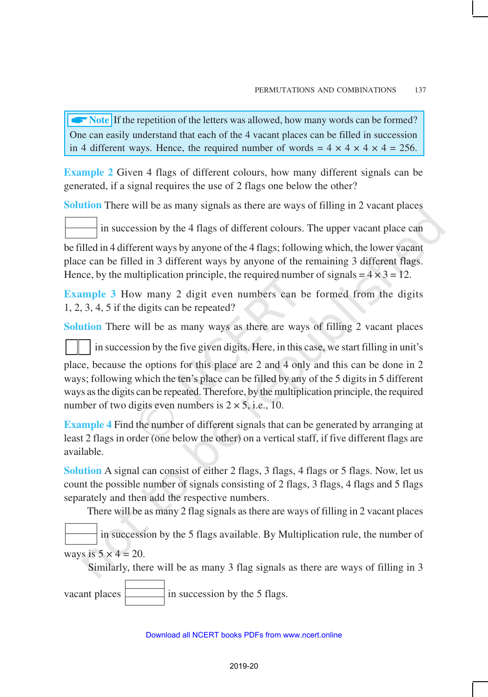**ARRORE** If the repetition of the letters was allowed, how many words can be formed? One can easily understand that each of the 4 vacant places can be filled in succession in 4 different ways. Hence, the required number of words =  $4 \times 4 \times 4 \times 4 = 256$ .

**Example 2** Given 4 flags of different colours, how many different signals can be generated, if a signal requires the use of 2 flags one below the other?

**Solution** There will be as many signals as there are ways of filling in 2 vacant places

in succession by the 4 flags of different colours. The upper vacant place can

be filled in 4 different ways by anyone of the 4 flags; following which, the lower vacant place can be filled in 3 different ways by anyone of the remaining 3 different flags. Hence, by the multiplication principle, the required number of signals  $= 4 \times 3 = 12$ .

**Example 3** How many 2 digit even numbers can be formed from the digits 1, 2, 3, 4, 5 if the digits can be repeated?

**Solution** There will be as many ways as there are ways of filling 2 vacant places

in succession by the five given digits. Here, in this case, we start filling in unit's

place, because the options for this place are 2 and 4 only and this can be done in 2 ways; following which the ten's place can be filled by any of the 5 digits in 5 different ways as the digits can be repeated. Therefore, by the multiplication principle, the required number of two digits even numbers is  $2 \times 5$ , i.e., 10.

**Example 4** Find the number of different signals that can be generated by arranging at least 2 flags in order (one below the other) on a vertical staff, if five different flags are available.

**Solution** A signal can consist of either 2 flags, 3 flags, 4 flags or 5 flags. Now, let us count the possible number of signals consisting of 2 flags, 3 flags, 4 flags and 5 flags separately and then add the respective numbers.

There will be as many 2 flag signals as there are ways of filling in 2 vacant places

 in succession by the 5 flags available. By Multiplication rule, the number of ways is  $5 \times 4 = 20$ .

Similarly, there will be as many 3 flag signals as there are ways of filling in 3

vacant places  $\boxed{\phantom{1}}$  in succession by the 5 flags.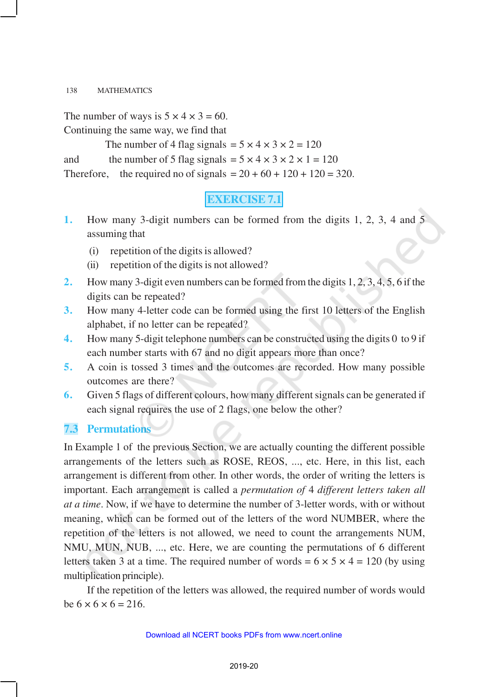The number of ways is  $5 \times 4 \times 3 = 60$ . Continuing the same way, we find that

The number of 4 flag signals =  $5 \times 4 \times 3 \times 2 = 120$ and the number of 5 flag signals =  $5 \times 4 \times 3 \times 2 \times 1 = 120$ Therefore, the required no of signals  $= 20 + 60 + 120 + 120 = 320$ .

# **EXERCISE 7.1**

- **1.** How many 3-digit numbers can be formed from the digits 1, 2, 3, 4 and 5 assuming that
	- (i) repetition of the digits is allowed?
	- (ii) repetition of the digits is not allowed?
- **2.** How many 3-digit even numbers can be formed from the digits 1, 2, 3, 4, 5, 6 if the digits can be repeated?
- **3.** How many 4-letter code can be formed using the first 10 letters of the English alphabet, if no letter can be repeated?
- **4.** How many 5-digit telephone numbers can be constructed using the digits 0 to 9 if each number starts with 67 and no digit appears more than once?
- **5.** A coin is tossed 3 times and the outcomes are recorded. How many possible outcomes are there?
- **6.** Given 5 flags of different colours, how many different signals can be generated if each signal requires the use of 2 flags, one below the other?

## **7.3 Permutations**

In Example 1 of the previous Section, we are actually counting the different possible arrangements of the letters such as ROSE, REOS, ..., etc. Here, in this list, each arrangement is different from other. In other words, the order of writing the letters is important. Each arrangement is called a *permutation of* 4 *different letters taken all at a time*. Now, if we have to determine the number of 3-letter words, with or without meaning, which can be formed out of the letters of the word NUMBER, where the repetition of the letters is not allowed, we need to count the arrangements NUM, NMU, MUN, NUB, ..., etc. Here, we are counting the permutations of 6 different letters taken 3 at a time. The required number of words =  $6 \times 5 \times 4 = 120$  (by using multiplication principle).

If the repetition of the letters was allowed, the required number of words would be  $6 \times 6 \times 6 = 216$ .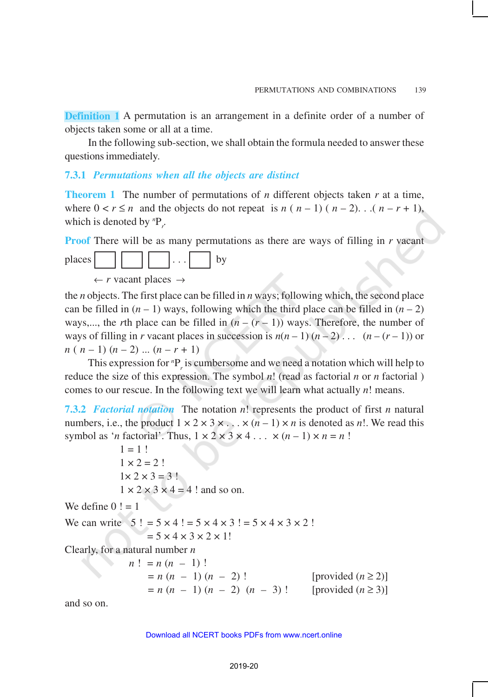**Definition 1** A permutation is an arrangement in a definite order of a number of objects taken some or all at a time.

In the following sub-section, we shall obtain the formula needed to answer these questions immediately.

### **7.3.1** *Permutations when all the objects are distinct*

**Theorem 1** The number of permutations of *n* different objects taken *r* at a time, where  $0 < r \le n$  and the objects do not repeat is  $n (n-1) (n-2)$ . . .  $(n-r+1)$ , which is denoted by  ${}^{n}P_{r}$ .

**Proof** There will be as many permutations as there are ways of filling in *r* vacant

places  $|| \cdot || \cdot || \cdot || \cdot || \cdot ||$  by

 $\leftarrow r$  vacant places  $\rightarrow$ 

the *n* objects. The first place can be filled in *n* ways; following which, the second place can be filled in  $(n - 1)$  ways, following which the third place can be filled in  $(n - 2)$ ways,..., the *r*th place can be filled in  $(n - (r - 1))$  ways. Therefore, the number of ways of filling in *r* vacant places in succession is  $n(n-1)(n-2)$ ...  $(n-(r-1))$  or  $n (n-1) (n-2) ... (n-r+1)$ 

This expression for  ${}^{n}P_{r}$  is cumbersome and we need a notation which will help to reduce the size of this expression. The symbol *n*! (read as factorial *n* or *n* factorial ) comes to our rescue. In the following text we will learn what actually *n*! means.

**7.3.2** *Factorial notation* The notation *n*! represents the product of first *n* natural numbers, i.e., the product  $1 \times 2 \times 3 \times \ldots \times (n-1) \times n$  is denoted as *n*!. We read this symbol as '*n* factorial'. Thus,  $1 \times 2 \times 3 \times 4 \dots \times (n-1) \times n = n!$ 

 $1 = 1!$  $1 \times 2 = 2!$  $1 \times 2 \times 3 = 3!$  $1 \times 2 \times 3 \times 4 = 4$ ! and so on. We define  $0! = 1$ We can write  $5! = 5 \times 4! = 5 \times 4 \times 3! = 5 \times 4 \times 3 \times 2!$  $= 5 \times 4 \times 3 \times 2 \times 1!$ Clearly, for a natural number *n*  $n! = n(n - 1)!$  $= n (n - 1) (n - 2)!$  [provided  $(n \ge 2)$ ]  $= n (n - 1) (n - 2) (n - 3)$ ! [provided  $(n \ge 3)$ ]

and so on.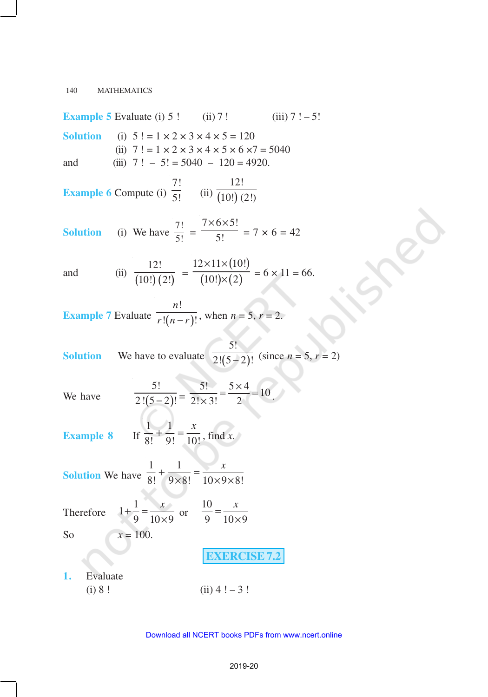**Example 5** Evaluate (i) 5 ! (ii) 7 ! (iii)  $7! - 5!$ **Solution** (i)  $5! = 1 \times 2 \times 3 \times 4 \times 5 = 120$ (ii)  $7! = 1 \times 2 \times 3 \times 4 \times 5 \times 6 \times 7 = 5040$ and (iii)  $7! - 5! = 5040 - 120 = 4920$ . **Example 6** Compute (i) 7!  $\overline{5!}$  (ii)  $\overline{(10!)}$ 12!  $(10!)$   $(2!)$ **Solution** (i) We have  $\frac{7!}{5!}$  =  $7 \times 6 \times 5!$ 5!  $\times$ 6 $\times$  $= 7 \times 6 = 42$ and (ii)  $\frac{12!}{(10!)(2!)}$  $\frac{1}{10! \cdot (2!)}$  =  $(10!)$  $(10!) \times (2)$  $12 \times 11 \times (10!)$  $(10!) \times (2)$  $\times$ 11 $\times$  $\frac{1}{\times (2)}$  = 6 × 11 = 66. **Example 7** Evaluate  $\overline{r!(n-r)}$ !  $!(n-r)!$ *n*  $\overline{r!(n-r)!}$ , when  $n = 5$ ,  $r = 2$ . **Solution** We have to evaluate  $\sqrt{2! (5-2)}$ 5!  $\sqrt{2! (5-2)!}$  (since  $n = 5, r = 2$ ) We have  $\overline{2!(5-2)}$ 5!  $\frac{5!}{2!(5-2)!} = \frac{5!}{2!\times 3!} = \frac{5\times 4}{2} = 10$  $2! \times 3!$  2  $=\frac{5\times4}{1}$  $\frac{x}{x-3!} = \frac{y}{2} = 10$ . **Example 8** If  $1 - 1$ 8! 9! 10!  $+\frac{1}{9!} = \frac{x}{10!}$ , find *x*. **Solution** We have  $1 \t1$  $8! \quad 9 \times 8! \quad 10 \times 9 \times 8!$  $+\frac{1}{2} = \frac{x}{12}$  $\times 8!$  10 $\times$ 9 $\times$ Therefore  $1 + \frac{1}{2}$ 9  $10 \times 9$  $+\frac{1}{2} = \frac{x}{12}$  $\frac{1}{\times 9}$  or 10 9  $10 \times 9$  $=\frac{x}{10}$ × So  $x = 100$ . **EXERCISE 7.2 1.** Evaluate (i)  $8!$  (ii)  $4! - 3!$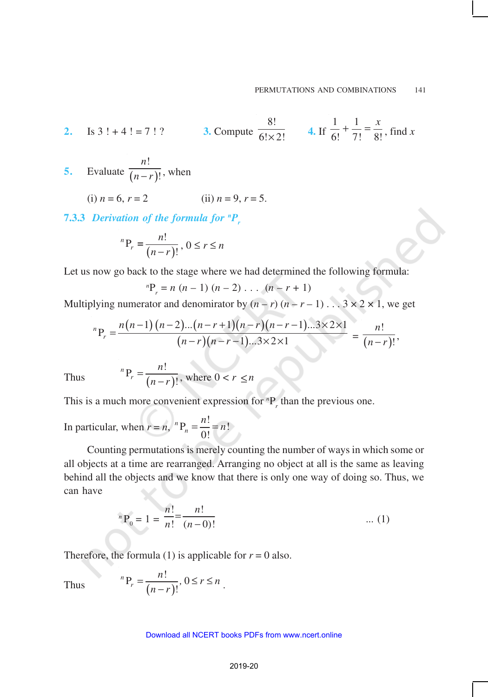2. Is 
$$
3! + 4! = 7! ?
$$
 3. Compute  $\frac{8!}{6! \times 2!}$  4. If  $\frac{1}{6!} + \frac{1}{7!} = \frac{x}{8!}$ , find x

- **5.** Evaluate  $\overline{(n-r)}$ ! ! *n*  $\overline{n-r}$ <sup>*j*</sup>, when
	- (i)  $n = 6, r = 2$  (ii)  $n = 9, r = 5.$

**7.3.3** *Derivation of the formula for <sup>n</sup>P<sup>r</sup>*

$$
{}^{n}P_{r} = \frac{n!}{(n-r)!}, 0 \le r \le n
$$

Let us now go back to the stage where we had determined the following formula:

$$
{}^{n}P_{r} = n (n - 1) (n - 2) \dots (n - r + 1)
$$

Multiplying numerator and denomirator by  $(n - r)(n - r - 1) \dots 3 \times 2 \times 1$ , we get

$$
{}^{n}P_{r} = \frac{n(n-1)(n-2)...(n-r+1)(n-r)(n-r-1)...3\times2\times1}{(n-r)(n-r-1)...3\times2\times1} = \frac{n!}{(n-r)!},
$$

Thus 
$$
{}^{n}P_{r} = \frac{n!}{(n-r)!}
$$
, where  $0 < r \le n$ 

This is a much more convenient expression for  ${}^{n}P_{r}$  than the previous one.

In particular, when  $r = n$ ,  $^{n}P_{n} = \frac{n!}{\gamma!} = n!$ 0!  $^{n}P_{n}$  $=\frac{n!}{\Omega}$ 

Counting permutations is merely counting the number of ways in which some or all objects at a time are rearranged. Arranging no object at all is the same as leaving behind all the objects and we know that there is only one way of doing so. Thus, we can have

$$
{}^{n}P_{0} = 1 = \frac{n!}{n!} = \frac{n!}{(n-0)!}
$$
 ... (1)

Therefore, the formula (1) is applicable for  $r = 0$  also.

Thus 
$$
{}^{n}P_{r} = \frac{n!}{(n-r)!}, 0 \leq r \leq n.
$$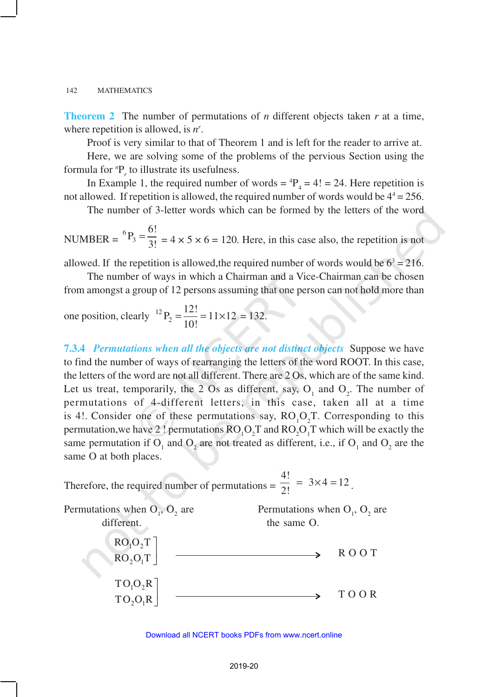**Theorem 2** The number of permutations of *n* different objects taken *r* at a time, where repetition is allowed, is *n r* .

Proof is very similar to that of Theorem 1 and is left for the reader to arrive at.

Here, we are solving some of the problems of the pervious Section using the formula for  ${}^nP_r$  to illustrate its usefulness.

In Example 1, the required number of words =  ${}^{4}P_{4}$  = 4! = 24. Here repetition is not allowed. If repetition is allowed, the required number of words would be  $4^4 = 256$ .

The number of 3-letter words which can be formed by the letters of the word

NUMBER =  ${}^{6}P_{3} = \frac{6!}{3!}$  $=\frac{3!}{3!} = 4 \times 5 \times 6 = 120$ . Here, in this case also, the repetition is not

allowed. If the repetition is allowed, the required number of words would be  $6<sup>3</sup> = 216$ .

The number of ways in which a Chairman and a Vice-Chairman can be chosen from amongst a group of 12 persons assuming that one person can not hold more than

one position, clearly 
$$
{}^{12}P_2 = \frac{12!}{10!} = 11 \times 12 = 132.
$$

**7.3.4** *Permutations when all the objects are not distinct objects* Suppose we have to find the number of ways of rearranging the letters of the word ROOT. In this case, the letters of the word are not all different. There are 2 Os, which are of the same kind. Let us treat, temporarily, the 2 Os as different, say,  $O_1$  and  $O_2$ . The number of permutations of 4-different letters, in this case, taken all at a time is 4!. Consider one of these permutations say,  $RO<sub>1</sub>O<sub>2</sub>T$ . Corresponding to this permutation, we have 2! permutations  $RO_1O_2T$  and  $RO_2O_1T$  which will be exactly the same permutation if  $O_1$  and  $O_2$  are not treated as different, i.e., if  $O_1$  and  $O_2$  are the same O at both places.

Therefore, the required number of permutations =  $\frac{4!}{2!}$  = 3×4 = 12  $\frac{44}{2!}$  = 3×4=12.

Permutations when  $O_1$ ,  $O_2$ are Permutations when  $O_1$ ,  $O_2$  are different. the same O.  $1^{\prime\prime}$  $2^{\mathbf{U}}1$  $RO<sub>1</sub>O<sub>2</sub>T$  $RO<sub>2</sub>O<sub>1</sub>T$  $\overline{\phantom{a}}$  $\overline{\phantom{a}}$ R O O T  $1\mathcal{V}_2$  $2^{\vee}1$  $TO_1O_2R$  $TO_2O_1R$  $\overline{\phantom{a}}$  $\overline{\phantom{a}}$ T O O R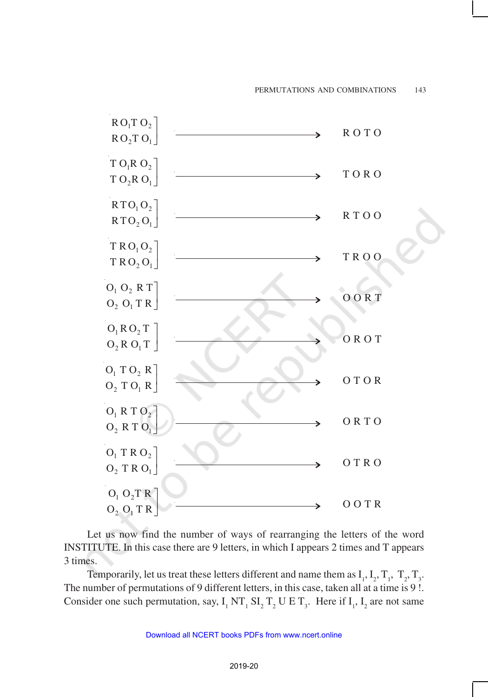

Let us now find the number of ways of rearranging the letters of the word INSTITUTE. In this case there are 9 letters, in which I appears 2 times and T appears 3 times.

Temporarily, let us treat these letters different and name them as  $I_1, I_2, T_1, T_2, T_3$ . The number of permutations of 9 different letters, in this case, taken all at a time is 9 !. Consider one such permutation, say,  $I_1 N T_1 S I_2 T_2 U E T_3$ . Here if  $I_1$ ,  $I_2$  are not same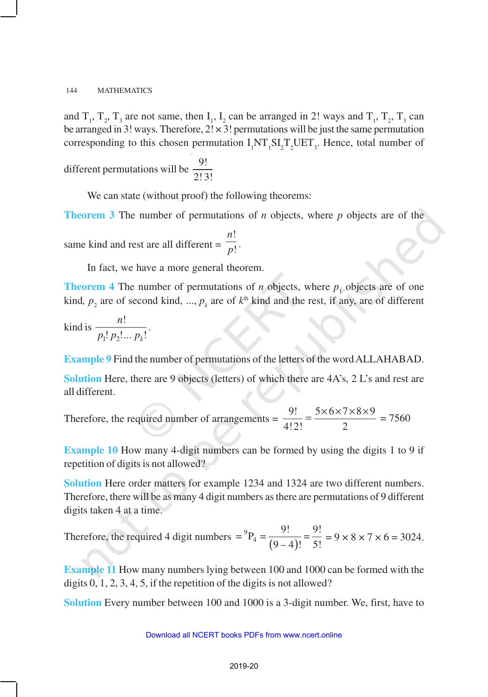and  $T_1$ ,  $T_2$ ,  $T_3$  are not same, then  $I_1$ ,  $I_2$  can be arranged in 2! ways and  $T_1$ ,  $T_2$ ,  $T_3$  can be arranged in 3! ways. Therefore,  $2! \times 3!$  permutations will be just the same permutation corresponding to this chosen permutation  $I_1NT_1SI_2T_2UET_3$ . Hence, total number of

different permutations will be  $\frac{9!}{3!6}$ 2! 3!

We can state (without proof) the following theorems:

**Theorem 3** The number of permutations of *n* objects, where *p* objects are of the same kind and rest are all different = ! ! *n p* .

In fact, we have a more general theorem.

**Theorem 4** The number of permutations of *n* objects, where  $p_1$  objects are of one kind,  $p_2$  are of second kind, ...,  $p_k$  are of  $k^{\text{th}}$  kind and the rest, if any, are of different

kind is  $1 \cdot P_2$ !  $: p_2! \dots p_k!$ *n*  $p_1! p_2! ... p$ .

**Example 9** Find the number of permutations of the letters of the word ALLAHABAD.

**Solution** Here, there are 9 objects (letters) of which there are 4A's, 2 L's and rest are all different.

Therefore, the required number of arrangements =  $\frac{9!}{4!0!} = \frac{5 \times 6 \times 7 \times 8 \times 9}{2}$ 4!2! 2  $=\frac{5\times6\times7\times8\times9}{2}$  = 7560

**Example 10** How many 4-digit numbers can be formed by using the digits 1 to 9 if repetition of digits is not allowed?

**Solution** Here order matters for example 1234 and 1324 are two different numbers. Therefore, there will be as many 4 digit numbers as there are permutations of 9 different digits taken 4 at a time.

Therefore, the required 4 digit numbers  $= {}^9P_4 = \frac{9!}{(9-4)!} = \frac{9!}{5!}$  $\frac{1}{9-4}$  =  $\frac{1}{5}$  = 9 × 8 × 7 × 6 = 3024.

**Example 11** How many numbers lying between 100 and 1000 can be formed with the digits 0, 1, 2, 3, 4, 5, if the repetition of the digits is not allowed?

**Solution** Every number between 100 and 1000 is a 3-digit number. We, first, have to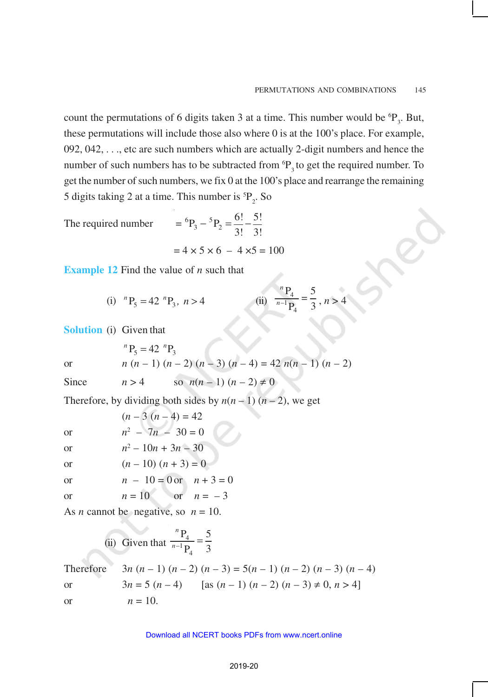count the permutations of 6 digits taken 3 at a time. This number would be  ${}^{6}P_3$ . But, these permutations will include those also where 0 is at the 100's place. For example, 092, 042, . . ., etc are such numbers which are actually 2-digit numbers and hence the number of such numbers has to be subtracted from  ${}^6P_3$  to get the required number. To get the number of such numbers, we fix 0 at the 100's place and rearrange the remaining 5 digits taking 2 at a time. This number is  ${}^{5}P_{2}$ . So

The required number

$$
= {}^{6}P_{3} - {}^{5}P_{2} = \frac{6!}{3!} - \frac{5!}{3!}
$$

$$
= 4 \times 5 \times 6 - 4 \times 5 = 100
$$

**Example 12** Find the value of *n* such that

(i) 
$$
{}^{n}P_{5} = 42 {}^{n}P_{3}, n > 4
$$
 (ii)  $\frac{{}^{n}P_{4}}{{}^{n-1}P_{4}} = \frac{5}{3}, n > 4$ 

**Solution** (i) Given that

or 
$$
{}^{n}P_{5} = 42 {}^{n}P_{3}
$$
  
\n $n (n - 1) (n - 2) (n - 3) (n - 4) = 42 n(n - 1) (n - 2)$ 

Since 
$$
n > 4
$$
 so  $n(n-1)(n-2) \neq 0$ 

Therefore, by dividing both sides by  $n(n-1)(n-2)$ , we get

 $(n-3(n-4)) = 42$ or *n*  $2 - 7n - 30 = 0$ 

or 
$$
n^2 - 10n + 3n - 30
$$

or  $(n - 10) (n + 3) = 0$ 

or 
$$
n - 10 = 0
$$
 or  $n + 3 = 0$ 

or 
$$
n = 10
$$
 or  $n = -3$ 

As *n* cannot be negative, so  $n = 10$ .

(ii) Given that 
$$
\frac{{}^{n}P_{4}}{{}^{n-1}P_{4}} = \frac{5}{3}
$$

Therefore 
$$
3n(n-1)(n-2)(n-3) = 5(n-1)(n-2)(n-3)(n-4)
$$
  
or  $3n = 5(n-4)$  [as  $(n-1)(n-2)(n-3) \neq 0, n > 4$ ]  
or  $n = 10$ .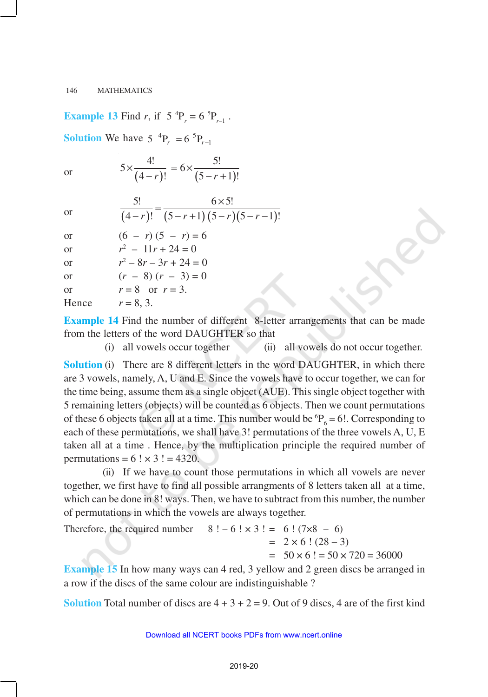# **Example 13** Find *r*, if  $5^{4}P_{r} = 6^{5}P_{r-1}$ .

**Solution** We have  $5^{4}P_{r} = 6^{5}P_{r-1}$ 

or 
$$
5 \times \frac{4!}{(4-r)!} = 6 \times \frac{5!}{(5-r+1)!}
$$

$$
\overline{\text{or}}
$$

|    | $6 \times 5!$                   |
|----|---------------------------------|
| or | $(4-r)!$ $(5-r+1)(5-r)(5-r-1)!$ |

| <b>or</b> | $(6 - r)(5 - r) = 6$     |
|-----------|--------------------------|
| <b>or</b> | $r^2 - 11r + 24 = 0$     |
| <b>or</b> | $r^2 - 8r - 3r + 24 = 0$ |
|           | $(0, 0)$ $(1, 0)$        |

or  $(r - 8) (r - 3) = 0$ or  $r = 8$  or  $r = 3$ .

Hence  $r = 8, 3$ .

**Example 14** Find the number of different 8-letter arrangements that can be made from the letters of the word DAUGHTER so that

(i) all vowels occur together (ii) all vowels do not occur together.

**Solution** (i) There are 8 different letters in the word DAUGHTER, in which there are 3 vowels, namely, A, U and E. Since the vowels have to occur together, we can for the time being, assume them as a single object (AUE). This single object together with 5 remaining letters (objects) will be counted as 6 objects. Then we count permutations of these 6 objects taken all at a time. This number would be  ${}^{6}P_{6} = 6!$ . Corresponding to each of these permutations, we shall have 3! permutations of the three vowels A, U, E taken all at a time . Hence, by the multiplication principle the required number of permutations =  $6! \times 3! = 4320$ .

(ii) If we have to count those permutations in which all vowels are never together, we first have to find all possible arrangments of 8 letters taken all at a time, which can be done in 8! ways. Then, we have to subtract from this number, the number of permutations in which the vowels are always together.

Therefore, the required number  $8! - 6! \times 3! = 6! (7 \times 8 - 6)$  $= 2 \times 6$  !  $(28 - 3)$  $= 50 \times 6! = 50 \times 720 = 36000$ 

**Example 15** In how many ways can 4 red, 3 yellow and 2 green discs be arranged in a row if the discs of the same colour are indistinguishable ?

**Solution** Total number of discs are  $4 + 3 + 2 = 9$ . Out of 9 discs, 4 are of the first kind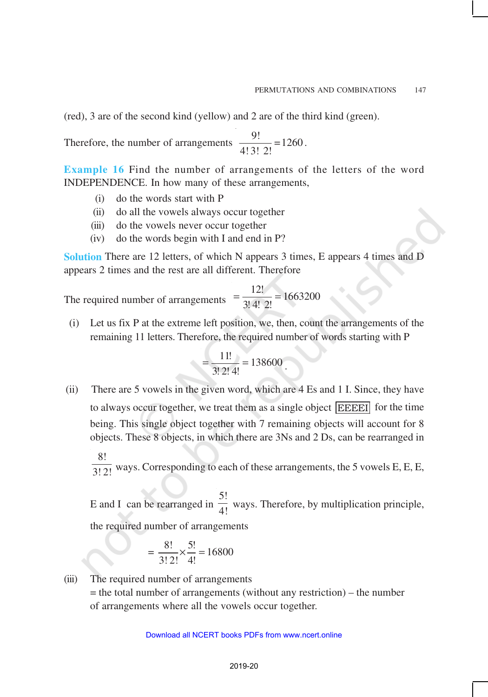(red), 3 are of the second kind (yellow) and 2 are of the third kind (green).

Therefore, the number of arrangements  $\frac{9!}{(132.5)} = 1260$ 4! 3! 2! .

**Example 16** Find the number of arrangements of the letters of the word INDEPENDENCE. In how many of these arrangements,

- (i) do the words start with P
- (ii) do all the vowels always occur together
- (iii) do the vowels never occur together
- (iv) do the words begin with I and end in P?

**Solution** There are 12 letters, of which N appears 3 times, E appears 4 times and D appears 2 times and the rest are all different. Therefore

The required number of arrangements  $=$   $\frac{12!}{3!4!2!}$  = 1663200 3! 4! 2!  $=\frac{12}{25}$  =

 (i) Let us fix P at the extreme left position, we, then, count the arrangements of the remaining 11 letters. Therefore, the required number of words starting with P

$$
=\frac{11!}{3! \ 2! \ 4!}=138600.
$$

 (ii) There are 5 vowels in the given word, which are 4 Es and 1 I. Since, they have to always occur together, we treat them as a single object EEEEI for the time being. This single object together with 7 remaining objects will account for 8 objects. These 8 objects, in which there are 3Ns and 2 Ds, can be rearranged in 8!

 $\overline{3!2!}$  ways. Corresponding to each of these arrangements, the 5 vowels E, E, E,

E and I can be rearranged in 5!  $\frac{1}{4!}$  ways. Therefore, by multiplication principle,

the required number of arrangements

$$
=\frac{8!}{3!2!} \times \frac{5!}{4!} = 16800
$$

(iii) The required number of arrangements  $=$  the total number of arrangements (without any restriction) – the number of arrangements where all the vowels occur together.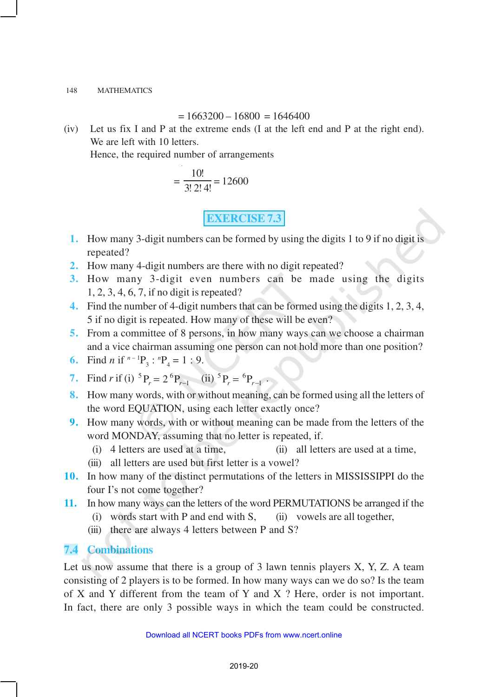### $= 1663200 - 16800 = 1646400$

(iv) Let us fix I and P at the extreme ends (I at the left end and P at the right end). We are left with 10 letters.

Hence, the required number of arrangements

$$
=\frac{10!}{3!\ 2!\ 4!} = 12600
$$

# **EXERCISE 7.3**

- **1.** How many 3-digit numbers can be formed by using the digits 1 to 9 if no digit is repeated?
- **2.** How many 4-digit numbers are there with no digit repeated?
- **3.** How many 3-digit even numbers can be made using the digits 1, 2, 3, 4, 6, 7, if no digit is repeated?
- **4.** Find the number of 4-digit numbers that can be formed using the digits 1, 2, 3, 4, 5 if no digit is repeated. How many of these will be even?
- **5.** From a committee of 8 persons, in how many ways can we choose a chairman and a vice chairman assuming one person can not hold more than one position?

6. Find *n* if 
$$
{}^{n-1}P_3
$$
:  ${}^{n}P_4 = 1 : 9$ .

7. Find r if (i) 
$$
{}^5P_r = 2 {}^6P_{r-1}
$$
 (ii)  ${}^5P_r = {}^6P_{r-1}$ 

**8.** How many words, with or without meaning, can be formed using all the letters of the word EQUATION, using each letter exactly once?

.

- **9.** How many words, with or without meaning can be made from the letters of the word MONDAY, assuming that no letter is repeated, if.
	- (i) 4 letters are used at a time, (ii) all letters are used at a time,
	- (iii) all letters are used but first letter is a vowel?
- **10.** In how many of the distinct permutations of the letters in MISSISSIPPI do the four I's not come together?
- **11.** In how many ways can the letters of the word PERMUTATIONS be arranged if the
	- (i) words start with P and end with S, (ii) vowels are all together,
	- (iii) there are always 4 letters between P and S?

# **7.4 Combinations**

Let us now assume that there is a group of  $3$  lawn tennis players  $X$ ,  $Y$ ,  $Z$ . A team consisting of 2 players is to be formed. In how many ways can we do so? Is the team of X and Y different from the team of Y and X ? Here, order is not important. In fact, there are only 3 possible ways in which the team could be constructed.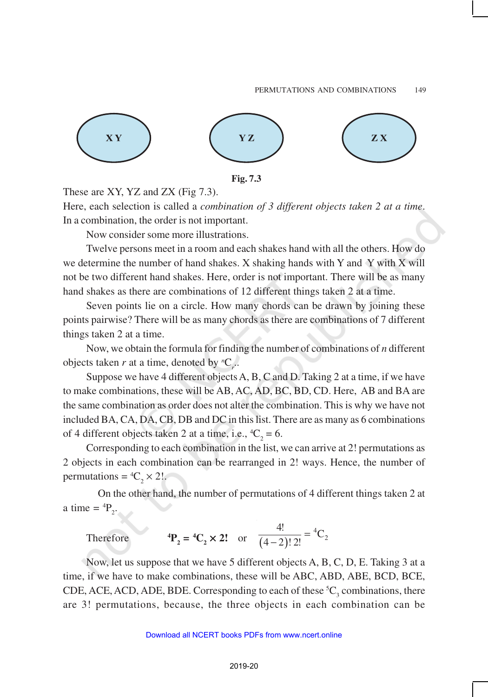



These are XY, YZ and ZX (Fig 7.3).

Here, each selection is called a *combination of 3 different objects taken 2 at a time*. In a combination, the order is not important.

Now consider some more illustrations.

Twelve persons meet in a room and each shakes hand with all the others. How do we determine the number of hand shakes. X shaking hands with Y and Y with X will not be two different hand shakes. Here, order is not important. There will be as many hand shakes as there are combinations of 12 different things taken 2 at a time.

Seven points lie on a circle. How many chords can be drawn by joining these points pairwise? There will be as many chords as there are combinations of 7 different things taken 2 at a time.

Now, we obtain the formula for finding the number of combinations of *n* different objects taken *r* at a time, denoted by  ${}^nC_r$ .

Suppose we have 4 different objects A, B, C and D. Taking 2 at a time, if we have to make combinations, these will be AB, AC, AD, BC, BD, CD. Here, AB and BA are the same combination as order does not alter the combination. This is why we have not included BA, CA, DA, CB, DB and DC in this list. There are as many as 6 combinations of 4 different objects taken 2 at a time, i.e.,  ${}^4C_2 = 6$ .

Corresponding to each combination in the list, we can arrive at 2! permutations as 2 objects in each combination can be rearranged in 2! ways. Hence, the number of permutations =  ${}^4C_2 \times 2!$ .

On the other hand, the number of permutations of 4 different things taken 2 at a time =  ${}^{4}P_{2}$ .

Therefore 
$$
{}^4P_2 = {}^4C_2 \times 2!
$$
 or  $\frac{4!}{(4-2)! \cdot 2!} = {}^4C_2$ 

Now, let us suppose that we have 5 different objects A, B, C, D, E. Taking 3 at a time, if we have to make combinations, these will be ABC, ABD, ABE, BCD, BCE, CDE, ACE, ACD, ADE, BDE. Corresponding to each of these  ${}^5C_3$  combinations, there are 3! permutations, because, the three objects in each combination can be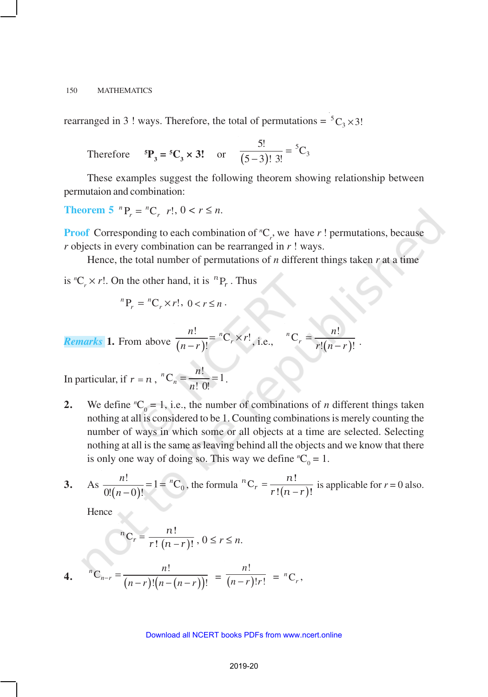rearranged in 3 ! ways. Therefore, the total of permutations =  ${}^5C_3 \times 3!$ 

Therefore 
$$
{}^5P_3 = {}^5C_3 \times 3!
$$
 or  $\frac{5!}{(5-3)! \ 3!} = {}^5C_3$ 

These examples suggest the following theorem showing relationship between permutaion and combination:

**Theorem 5**  $^{n}P_{r} = {}^{n}C_{r}$   $r!$ ,  $0 < r \leq n$ .

**Proof** Corresponding to each combination of  ${}^nC_r$ , we have r! permutations, because *r* objects in every combination can be rearranged in *r* ! ways.

Hence, the total number of permutations of *n* different things taken *r* at a time

is  ${}^nC_r \times r!$ . On the other hand, it is  ${}^nP_r$ . Thus

$$
{}^{n}P_{r} = {}^{n}C_{r} \times r!, \ 0 < r \leq n.
$$

**Remarks** 1. From above 
$$
\frac{n!}{(n-r)!} = {}^nC_r \times r!
$$
, i.e.,  ${}^nC_r = \frac{n!}{r!(n-r)!}$ .

In particular, if  $r = n$ ,  $C_n = \frac{n!}{n!} = 1$ ! 0!  $^nC_n$ *n*  $=\frac{n!}{n! \ 0!} = 1$ .

**2.** We define  ${}^nC_0 = 1$ , i.e., the number of combinations of *n* different things taken nothing at all is considered to be 1. Counting combinations is merely counting the number of ways in which some or all objects at a time are selected. Selecting nothing at all is the same as leaving behind all the objects and we know that there is only one way of doing so. This way we define  ${}^nC_0 = 1$ .

3. As 
$$
\frac{n!}{0!(n-0)!} = 1 = {}^{n}C_0
$$
, the formula  ${}^{n}C_r = \frac{n!}{r!(n-r)!}$  is applicable for  $r = 0$  also.

Hence

$$
{}^{n}C_{r} = \frac{n!}{r! (n-r)!}, 0 \le r \le n.
$$
  
4.  ${}^{n}C_{n-r} = \frac{n!}{(n-r)!(n-(n-r))!} = \frac{n!}{(n-r)!r!} = {}^{n}C_{r},$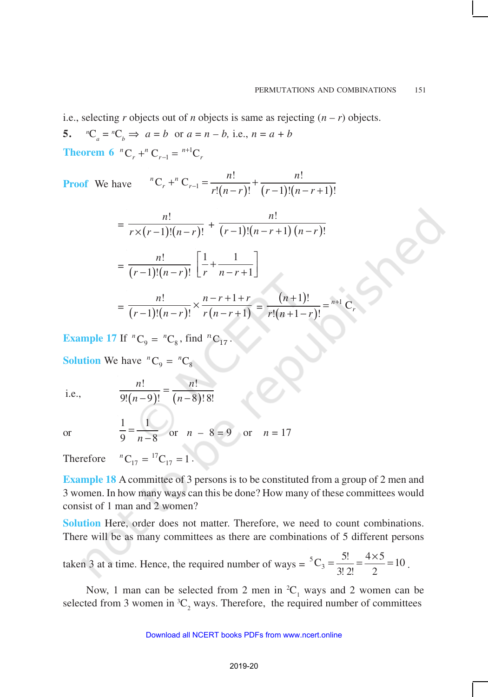*r*

i.e., selecting *r* objects out of *n* objects is same as rejecting  $(n - r)$  objects.

5. 
$$
{}^nC_a = {}^nC_b \Rightarrow a = b
$$
 or  $a = n - b$ , i.e.,  $n = a + b$   
**Theorem 6**  ${}^nC_r + {}^nC_{r-1} = {}^{n+1}C_r$ 

**Proof** We have 
$$
{}^{n}C_{r} + {}^{n}C_{r-1} = \frac{n!}{r!(n-r)!} + \frac{n!}{(r-1)!(n-r+1)!}
$$

$$
= \frac{n!}{r \times (r-1)!(n-r)!} + \frac{n!}{(r-1)!(n-r+1)(n-r)!}
$$

$$
= \frac{n!}{(r-1)!(n-r)!} \left[ \frac{1}{r} + \frac{1}{n-r+1} \right]
$$

$$
= \frac{n!}{(r-1)!(n-r)!} \times \frac{n-r+1+r}{r(n-r+1)} = \frac{(n+1)!}{r!(n+1-r)!} = {}^{n+1}C
$$

**Example 17** If  ${}^nC_9 = {}^nC_8$ , find  ${}^nC_{17}$ .

**Solution** We have  ${}^nC_9 = {}^nC_8$ 

i.e., 
$$
\frac{n!}{9!(n-9)!} = \frac{n!}{(n-8)! \, 8!}
$$

or

1 1 9  $n-8$ = − or *n* – 8 = 9 or *n* = 17

Therefore  ${}^{n}C_{17} = {}^{17}C_{17} = 1$ .

**Example 18** A committee of 3 persons is to be constituted from a group of 2 men and 3 women. In how many ways can this be done? How many of these committees would consist of 1 man and 2 women?

**Solution** Here, order does not matter. Therefore, we need to count combinations. There will be as many committees as there are combinations of 5 different persons

taken 3 at a time. Hence, the required number of ways = 
$$
{}^5C_3 = \frac{5!}{3!2!} = \frac{4 \times 5}{2} = 10
$$
.

Now, 1 man can be selected from 2 men in  ${}^2C_1$  ways and 2 women can be selected from 3 women in  ${}^3C_2$  ways. Therefore, the required number of committees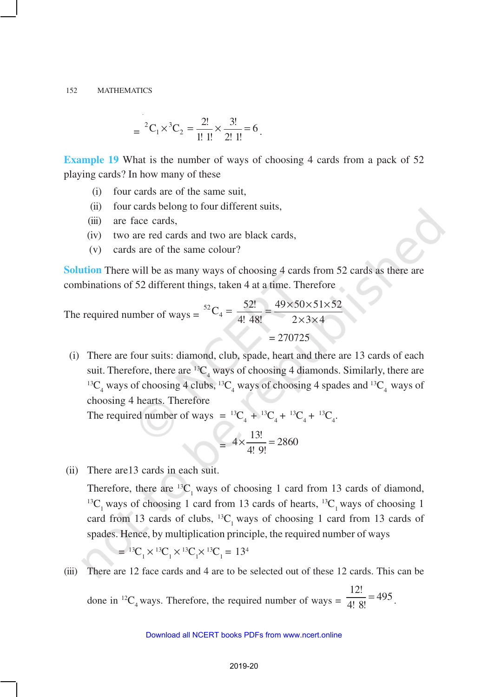$$
= {}^{2}C_{1} \times {}^{3}C_{2} = \frac{2!}{1! \ 1!} \times \frac{3!}{2! \ 1!} = 6.
$$

**Example 19** What is the number of ways of choosing 4 cards from a pack of 52 playing cards? In how many of these

- (i) four cards are of the same suit,
- (ii) four cards belong to four different suits,
- (iii) are face cards,
- (iv) two are red cards and two are black cards,
- (v) cards are of the same colour?

**Solution** There will be as many ways of choosing 4 cards from 52 cards as there are combinations of 52 different things, taken 4 at a time. Therefore

The required number of ways = 
$$
{}^{52}C_4 = \frac{52!}{4! \cdot 48!} = \frac{49 \times 50 \times 51 \times 52}{2 \times 3 \times 4}
$$
  
= 270725

 (i) There are four suits: diamond, club, spade, heart and there are 13 cards of each suit. Therefore, there are  ${}^{13}C_4$  ways of choosing 4 diamonds. Similarly, there are <sup>13</sup>C<sub>4</sub> ways of choosing 4 clubs, <sup>13</sup>C<sub>4</sub> ways of choosing 4 spades and <sup>13</sup>C<sub>4</sub> ways of choosing 4 hearts. Therefore

The required number of ways =  ${}^{13}C_4 + {}^{13}C_4 + {}^{13}C_4 + {}^{13}C_4$ .

$$
= 4 \times \frac{13!}{4! \ 9!} = 2860
$$

(ii) There are13 cards in each suit.

Therefore, there are  $^{13}C_1$  ways of choosing 1 card from 13 cards of diamond,  $^{13}C_1$  ways of choosing 1 card from 13 cards of hearts,  $^{13}C_1$  ways of choosing 1 card from 13 cards of clubs,  ${}^{13}C_1$  ways of choosing 1 card from 13 cards of spades. Hence, by multiplication principle, the required number of ways

$$
{}^{13}C_1 \times {}^{13}C_1 \times {}^{13}C_1 \times {}^{13}C_1 = 13^4
$$

(iii) There are 12 face cards and 4 are to be selected out of these 12 cards. This can be

done in <sup>12</sup>C<sub>4</sub> ways. Therefore, the required number of ways =  $\frac{12!}{4!8!}$  = 495  $\frac{12}{4!}$  = 495.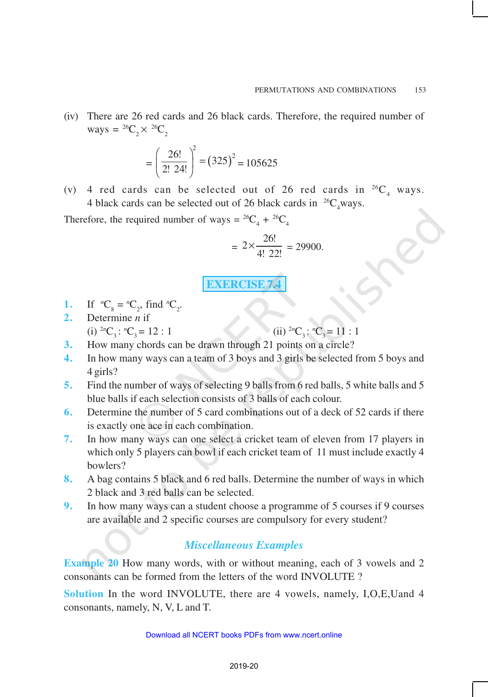(iv) There are 26 red cards and 26 black cards. Therefore, the required number of ways =  ${}^{26}C_2 \times {}^{26}C_2$ 

$$
= \left(\frac{26!}{2! \ 24!}\right)^2 = (325)^2 = 105625
$$

(v) 4 red cards can be selected out of 26 red cards in  $^{26}C_4$  ways. 4 black cards can be selected out of 26 black cards in  $^{26}C_4$ ways.

Therefore, the required number of ways =  ${}^{26}C_4$  +  ${}^{26}C_4$ 

$$
= 2 \times \frac{26!}{4! \ 22!} = 29900.
$$

**EXERCISE 7.4**

- **1.** If  ${}^nC_8 = {}^nC_2$ , find  ${}^nC_2$ .
- **2.** Determine *n* if
	- (i)  ${}^{2n}C_3$ :  ${}^{n}C_3 = 12 : 1$  (ii)  ${}^{2n}C_3$ :  ${}^{n}C_3 = 11 : 1$
- **3.** How many chords can be drawn through 21 points on a circle?
- **4.** In how many ways can a team of 3 boys and 3 girls be selected from 5 boys and 4 girls?
- **5.** Find the number of ways of selecting 9 balls from 6 red balls, 5 white balls and 5 blue balls if each selection consists of 3 balls of each colour.
- **6.** Determine the number of 5 card combinations out of a deck of 52 cards if there is exactly one ace in each combination.
- **7.** In how many ways can one select a cricket team of eleven from 17 players in which only 5 players can bowl if each cricket team of 11 must include exactly 4 bowlers?
- **8.** A bag contains 5 black and 6 red balls. Determine the number of ways in which 2 black and 3 red balls can be selected.
- **9.** In how many ways can a student choose a programme of 5 courses if 9 courses are available and 2 specific courses are compulsory for every student?

## *Miscellaneous Examples*

**Example 20** How many words, with or without meaning, each of 3 vowels and 2 consonants can be formed from the letters of the word INVOLUTE ?

**Solution** In the word INVOLUTE, there are 4 vowels, namely, I,O,E,Uand 4 consonants, namely, N, V, L and T.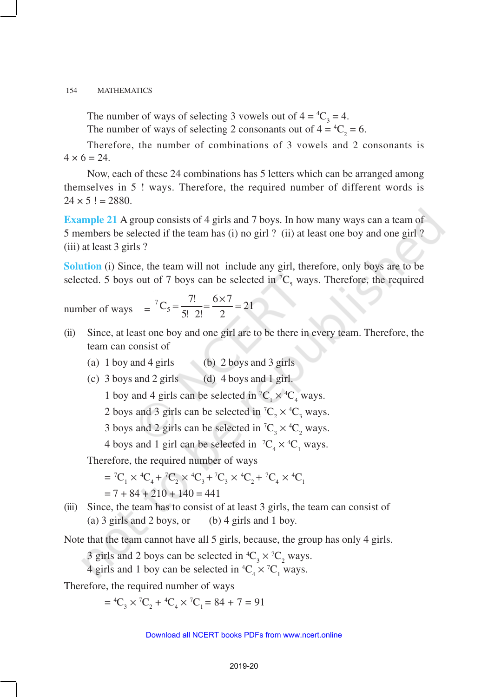The number of ways of selecting 3 vowels out of  $4 = {}^{4}C_{3} = 4$ .

The number of ways of selecting 2 consonants out of  $4 = {}^{4}C_{2} = 6$ .

Therefore, the number of combinations of 3 vowels and 2 consonants is  $4 \times 6 = 24.$ 

Now, each of these 24 combinations has 5 letters which can be arranged among themselves in 5 ! ways. Therefore, the required number of different words is  $24 \times 5! = 2880.$ 

**Example 21** A group consists of 4 girls and 7 boys. In how many ways can a team of 5 members be selected if the team has (i) no girl ? (ii) at least one boy and one girl ? (iii) at least 3 girls ?

**Solution** (i) Since, the team will not include any girl, therefore, only boys are to be selected. 5 boys out of 7 boys can be selected in  ${}^{7}C_{5}$  ways. Therefore, the required

number of ways 
$$
= {}^7C_5 = \frac{7!}{5! \cdot 2!} = \frac{6 \times 7}{2} = 21
$$

- (ii) Since, at least one boy and one girl are to be there in every team. Therefore, the team can consist of
	- (a) 1 boy and 4 girls (b) 2 boys and 3 girls
	- (c)  $3$  boys and  $2$  girls (d)  $4$  boys and  $1$  girl.

1 boy and 4 girls can be selected in  ${}^{7}C_{1} \times {}^{4}C_{4}$  ways.

2 boys and 3 girls can be selected in  ${}^{7}C_{2} \times {}^{4}C_{3}$  ways.

3 boys and 2 girls can be selected in  ${}^{7}C_{3} \times {}^{4}C_{2}$  ways.

4 boys and 1 girl can be selected in  ${}^{7}C_{4} \times {}^{4}C_{1}$  ways.

Therefore, the required number of ways

$$
= {}^{7}C_{1} \times {}^{4}C_{4} + {}^{7}C_{2} \times {}^{4}C_{3} + {}^{7}C_{3} \times {}^{4}C_{2} + {}^{7}C_{4} \times {}^{4}C_{1}
$$
  
= 7 + 84 + 210 + 140 = 441

(iii) Since, the team has to consist of at least 3 girls, the team can consist of (a) 3 girls and 2 boys, or (b) 4 girls and 1 boy.

Note that the team cannot have all 5 girls, because, the group has only 4 girls.

3 girls and 2 boys can be selected in  ${}^4C_3 \times {}^7C_2$  ways.

4 girls and 1 boy can be selected in  ${}^4C_4 \times {}^7C_1$  ways.

Therefore, the required number of ways

 $= {}^4C_3 \times {}^7C_2 + {}^4C_4 \times {}^7C_1 = 84 + 7 = 91$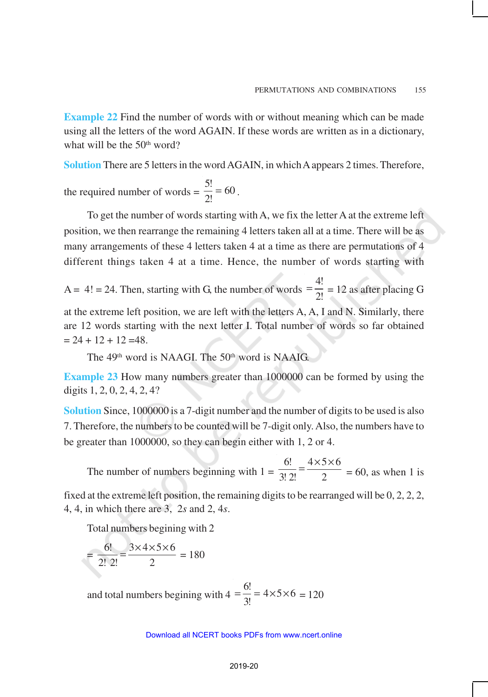**Example 22** Find the number of words with or without meaning which can be made using all the letters of the word AGAIN. If these words are written as in a dictionary, what will be the  $50<sup>th</sup>$  word?

**Solution** There are 5 letters in the word AGAIN, in which A appears 2 times. Therefore,

the required number of words =  $\frac{5!}{2!}$  = 60  $\frac{3!}{2!} = 60$ .

To get the number of words starting with A, we fix the letter A at the extreme left position, we then rearrange the remaining 4 letters taken all at a time. There will be as many arrangements of these 4 letters taken 4 at a time as there are permutations of 4 different things taken 4 at a time. Hence, the number of words starting with

 $A = 4! = 24$ . Then, starting with G, the number of words 4!  $=\frac{4!}{2!}$  = 12 as after placing G

at the extreme left position, we are left with the letters A, A, I and N. Similarly, there are 12 words starting with the next letter I. Total number of words so far obtained  $= 24 + 12 + 12 = 48.$ 

The 49<sup>th</sup> word is NAAGI. The 50<sup>th</sup> word is NAAIG.

**Example 23** How many numbers greater than 1000000 can be formed by using the digits 1, 2, 0, 2, 4, 2, 4?

**Solution** Since, 1000000 is a 7-digit number and the number of digits to be used is also 7. Therefore, the numbers to be counted will be 7-digit only. Also, the numbers have to be greater than 1000000, so they can begin either with 1, 2 or 4.

The number of numbers beginning with  $1 =$ 6!  $4 \times 5 \times 6$  $3! 2! 2$  $=\frac{4 \times 5 \times 6}{2}$  = 60, as when 1 is

fixed at the extreme left position, the remaining digits to be rearranged will be 0, 2, 2, 2, 4, 4, in which there are 3, 2*s* and 2, 4*s*.

Total numbers begining with 2

$$
= \frac{6!}{2! \cdot 2!} = \frac{3 \times 4 \times 5 \times 6}{2} = 180
$$

and total numbers begining with  $4 = \frac{6!}{2!} = 4 \times 5 \times 6$  $=\frac{8!}{3!}$  = 4×5×6 = 120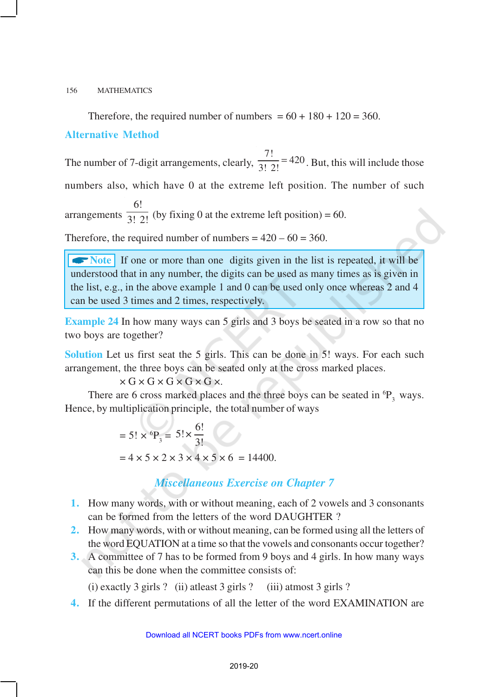Therefore, the required number of numbers =  $60 + 180 + 120 = 360$ .

### **Alternative Method**

The number of 7-digit arrangements, clearly,  $\frac{7!}{3!2!}$  = 420  $\frac{1}{3! \ 2!}$  = 420. But, this will include those numbers also, which have 0 at the extreme left position. The number of such arrangements 6!  $\overline{3! \ 2!}$  (by fixing 0 at the extreme left position) = 60.

Therefore, the required number of numbers =  $420 - 60 = 360$ .

**Note** If one or more than one digits given in the list is repeated, it will be understood that in any number, the digits can be used as many times as is given in the list, e.g., in the above example 1 and 0 can be used only once whereas 2 and 4 can be used 3 times and 2 times, respectively.

**Example 24** In how many ways can 5 girls and 3 boys be seated in a row so that no two boys are together?

**Solution** Let us first seat the 5 girls. This can be done in 5! ways. For each such arrangement, the three boys can be seated only at the cross marked places.

### $\times$  G  $\times$  G  $\times$  G  $\times$  G  $\times$ .

There are 6 cross marked places and the three boys can be seated in  ${}^{6}P_2$  ways. Hence, by multiplication principle, the total number of ways

> = 5!  $\times$  <sup>6</sup>P<sub>3</sub> = 5! $\times \frac{6!}{3!}$ 3!  $= 4 \times 5 \times 2 \times 3 \times 4 \times 5 \times 6 = 14400.$

## *Miscellaneous Exercise on Chapter 7*

- **1.** How many words, with or without meaning, each of 2 vowels and 3 consonants can be formed from the letters of the word DAUGHTER ?
- **2.** How many words, with or without meaning, can be formed using all the letters of the word EQUATION at a time so that the vowels and consonants occur together?
- **3.** A committee of 7 has to be formed from 9 boys and 4 girls. In how many ways can this be done when the committee consists of:

(i) exactly 3 girls ? (ii) atleast 3 girls ? (iii) atmost 3 girls ?

**4.** If the different permutations of all the letter of the word EXAMINATION are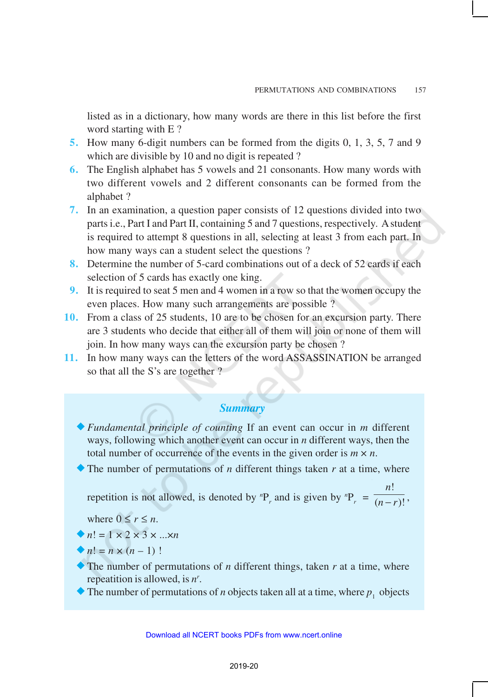listed as in a dictionary, how many words are there in this list before the first word starting with E ?

- **5.** How many 6-digit numbers can be formed from the digits 0, 1, 3, 5, 7 and 9 which are divisible by 10 and no digit is repeated ?
- **6.** The English alphabet has 5 vowels and 21 consonants. How many words with two different vowels and 2 different consonants can be formed from the alphabet ?
- **7.** In an examination, a question paper consists of 12 questions divided into two parts i.e., Part I and Part II, containing 5 and 7 questions, respectively. A student is required to attempt 8 questions in all, selecting at least 3 from each part. In how many ways can a student select the questions ?
- **8.** Determine the number of 5-card combinations out of a deck of 52 cards if each selection of 5 cards has exactly one king.
- **9.** It is required to seat 5 men and 4 women in a row so that the women occupy the even places. How many such arrangements are possible ?
- **10.** From a class of 25 students, 10 are to be chosen for an excursion party. There are 3 students who decide that either all of them will join or none of them will join. In how many ways can the excursion party be chosen ?
- **11.** In how many ways can the letters of the word ASSASSINATION be arranged so that all the S's are together ?

## *Summary*

- ®*Fundamental principle of counting* If an event can occur in *m* different ways, following which another event can occur in *n* different ways, then the total number of occurrence of the events in the given order is  $m \times n$ .
- $\blacklozenge$  The number of permutations of *n* different things taken *r* at a time, where

repetition is not allowed, is denoted by  ${}^{n}P_{r}$  and is given by  ${}^{n}P_{r}$  = !  $(n-r)!$ *n*  $\frac{n-r}{r}$ .

where  $0 \le r \le n$ .

$$
\bullet n! = 1 \times 2 \times 3 \times ... \times n
$$

$$
n! = n \times (n-1)!
$$

The number of permutations of  $n$  different things, taken  $r$  at a time, where repeatition is allowed, is *n r* .

The number of permutations of *n* objects taken all at a time, where  $p_1$  objects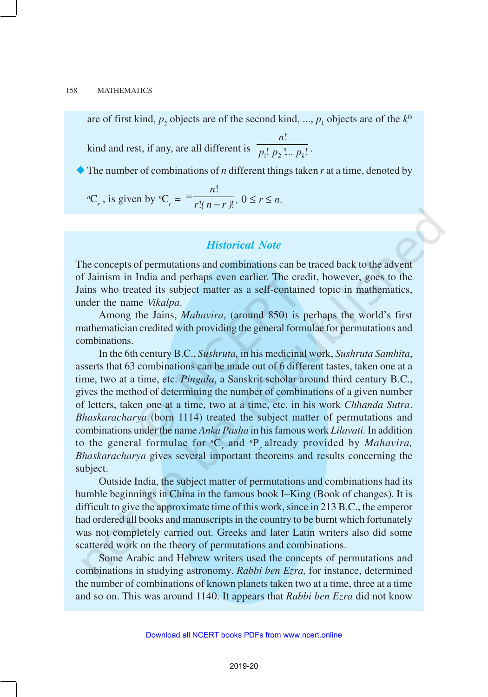are of first kind,  $p_2$  objects are of the second kind, ...,  $p_k$  objects are of the  $k^{\text{th}}$ 

kind and rest, if any, are all different is  $\overline{p_1! \, p_2}$ !  $: p_2 \dots p_k!$ *n*  $\overline{p_1! \ p_2! \dots p_k!}$ .

®The number of combinations of *n* different things taken *r* at a time, denoted by

<sup>*n*</sup>C<sub>*r*</sub>, is given by <sup>*n*</sup>C<sub>*r*</sub> = 
$$
= \frac{n!}{r!(n-r)!}, 0 \le r \le n.
$$

### *Historical Note*

The concepts of permutations and combinations can be traced back to the advent of Jainism in India and perhaps even earlier. The credit, however, goes to the Jains who treated its subject matter as a self-contained topic in mathematics, under the name *Vikalpa*.

Among the Jains, *Mahavira*, (around 850) is perhaps the world's first mathematician credited with providing the general formulae for permutations and combinations.

In the 6th century B.C., *Sushruta,* in his medicinal work, *Sushruta Samhita*, asserts that 63 combinations can be made out of 6 different tastes, taken one at a time, two at a time, etc. *Pingala*, a Sanskrit scholar around third century B.C., gives the method of determining the number of combinations of a given number of letters, taken one at a time, two at a time, etc. in his work *Chhanda Sutra*. *Bhaskaracharya* (born 1114) treated the subject matter of permutations and combinations under the name *Anka Pasha* in his famous work *Lilavati.* In addition to the general formulae for *<sup>n</sup>*C*<sup>r</sup>* and *<sup>n</sup>*P*<sup>r</sup>* already provided by *Mahavira, Bhaskaracharya* gives several important theorems and results concerning the subject.

Outside India, the subject matter of permutations and combinations had its humble beginnings in China in the famous book I–King (Book of changes). It is difficult to give the approximate time of this work, since in 213 B.C., the emperor had ordered all books and manuscripts in the country to be burnt which fortunately was not completely carried out. Greeks and later Latin writers also did some scattered work on the theory of permutations and combinations.

Some Arabic and Hebrew writers used the concepts of permutations and combinations in studying astronomy. *Rabbi ben Ezra,* for instance, determined the number of combinations of known planets taken two at a time, three at a time and so on. This was around 1140. It appears that *Rabbi ben Ezra* did not know